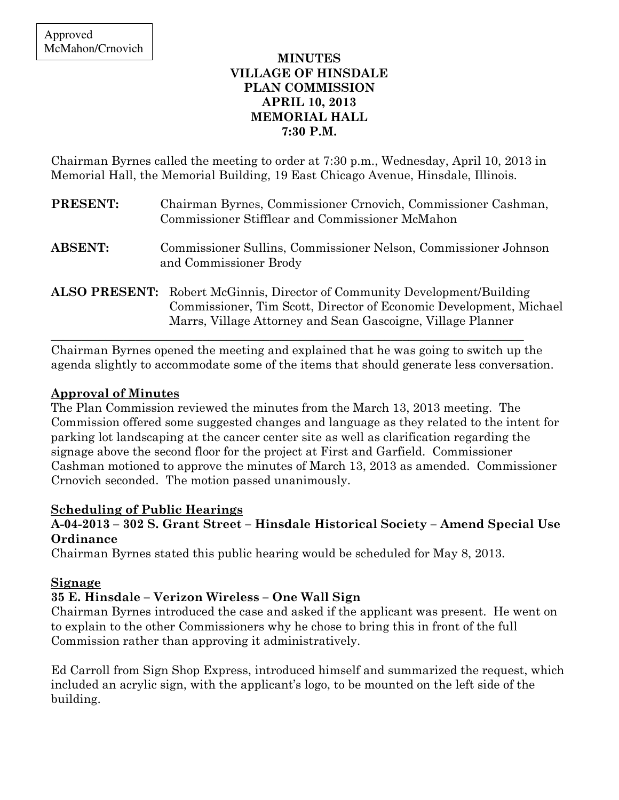### MINUTES VILLAGE OF HINSDALE PLAN COMMISSION APRIL 10, 2013 MEMORIAL HALL 7:30 P.M.

Chairman Byrnes called the meeting to order at 7:30 p.m., Wednesday, April 10, 2013 in Memorial Hall, the Memorial Building, 19 East Chicago Avenue, Hinsdale, Illinois.

| <b>PRESENT:</b> | Chairman Byrnes, Commissioner Crnovich, Commissioner Cashman,<br>Commissioner Stifflear and Commissioner McMahon                                                                                                      |
|-----------------|-----------------------------------------------------------------------------------------------------------------------------------------------------------------------------------------------------------------------|
| <b>ABSENT:</b>  | Commissioner Sullins, Commissioner Nelson, Commissioner Johnson<br>and Commissioner Brody                                                                                                                             |
|                 | <b>ALSO PRESENT:</b> Robert McGinnis, Director of Community Development/Building<br>Commissioner, Tim Scott, Director of Economic Development, Michael<br>Marrs, Village Attorney and Sean Gascoigne, Village Planner |

Chairman Byrnes opened the meeting and explained that he was going to switch up the agenda slightly to accommodate some of the items that should generate less conversation.

\_\_\_\_\_\_\_\_\_\_\_\_\_\_\_\_\_\_\_\_\_\_\_\_\_\_\_\_\_\_\_\_\_\_\_\_\_\_\_\_\_\_\_\_\_\_\_\_\_\_\_\_\_\_\_\_\_\_\_\_\_\_\_\_\_\_\_\_\_\_\_\_\_\_\_\_\_\_

## Approval of Minutes

The Plan Commission reviewed the minutes from the March 13, 2013 meeting. The Commission offered some suggested changes and language as they related to the intent for parking lot landscaping at the cancer center site as well as clarification regarding the signage above the second floor for the project at First and Garfield. Commissioner Cashman motioned to approve the minutes of March 13, 2013 as amended. Commissioner Crnovich seconded. The motion passed unanimously.

## Scheduling of Public Hearings

## A-04-2013 – 302 S. Grant Street – Hinsdale Historical Society – Amend Special Use **Ordinance**

Chairman Byrnes stated this public hearing would be scheduled for May 8, 2013.

### Signage

## 35 E. Hinsdale – Verizon Wireless – One Wall Sign

Chairman Byrnes introduced the case and asked if the applicant was present. He went on to explain to the other Commissioners why he chose to bring this in front of the full Commission rather than approving it administratively.

Ed Carroll from Sign Shop Express, introduced himself and summarized the request, which included an acrylic sign, with the applicant's logo, to be mounted on the left side of the building.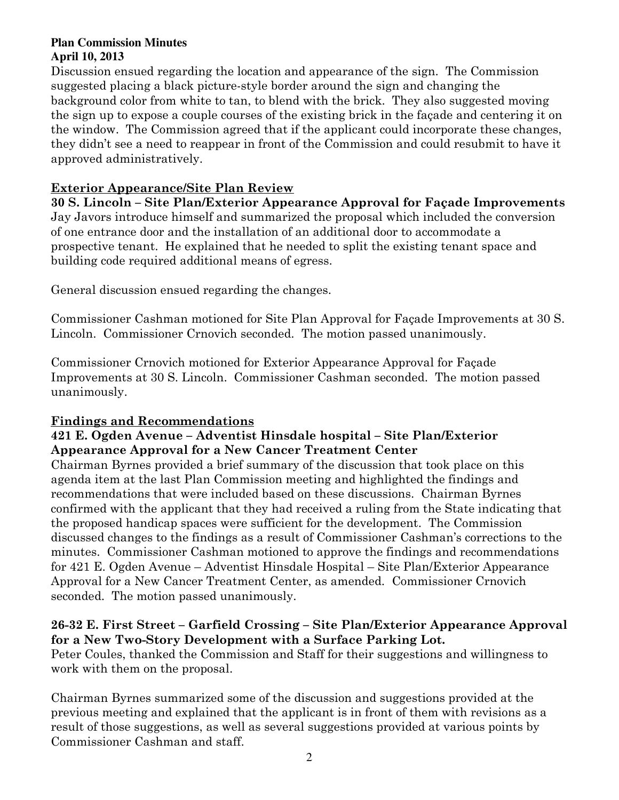#### **Plan Commission Minutes April 10, 2013**

Discussion ensued regarding the location and appearance of the sign. The Commission suggested placing a black picture-style border around the sign and changing the background color from white to tan, to blend with the brick. They also suggested moving the sign up to expose a couple courses of the existing brick in the façade and centering it on the window. The Commission agreed that if the applicant could incorporate these changes, they didn't see a need to reappear in front of the Commission and could resubmit to have it approved administratively.

## Exterior Appearance/Site Plan Review

30 S. Lincoln – Site Plan/Exterior Appearance Approval for Façade Improvements Jay Javors introduce himself and summarized the proposal which included the conversion of one entrance door and the installation of an additional door to accommodate a prospective tenant. He explained that he needed to split the existing tenant space and building code required additional means of egress.

General discussion ensued regarding the changes.

Commissioner Cashman motioned for Site Plan Approval for Façade Improvements at 30 S. Lincoln. Commissioner Crnovich seconded. The motion passed unanimously.

Commissioner Crnovich motioned for Exterior Appearance Approval for Façade Improvements at 30 S. Lincoln. Commissioner Cashman seconded. The motion passed unanimously.

# Findings and Recommendations

# 421 E. Ogden Avenue – Adventist Hinsdale hospital – Site Plan/Exterior Appearance Approval for a New Cancer Treatment Center

Chairman Byrnes provided a brief summary of the discussion that took place on this agenda item at the last Plan Commission meeting and highlighted the findings and recommendations that were included based on these discussions. Chairman Byrnes confirmed with the applicant that they had received a ruling from the State indicating that the proposed handicap spaces were sufficient for the development. The Commission discussed changes to the findings as a result of Commissioner Cashman's corrections to the minutes. Commissioner Cashman motioned to approve the findings and recommendations for 421 E. Ogden Avenue – Adventist Hinsdale Hospital – Site Plan/Exterior Appearance Approval for a New Cancer Treatment Center, as amended. Commissioner Crnovich seconded. The motion passed unanimously.

# 26-32 E. First Street – Garfield Crossing – Site Plan/Exterior Appearance Approval for a New Two-Story Development with a Surface Parking Lot.

Peter Coules, thanked the Commission and Staff for their suggestions and willingness to work with them on the proposal.

Chairman Byrnes summarized some of the discussion and suggestions provided at the previous meeting and explained that the applicant is in front of them with revisions as a result of those suggestions, as well as several suggestions provided at various points by Commissioner Cashman and staff.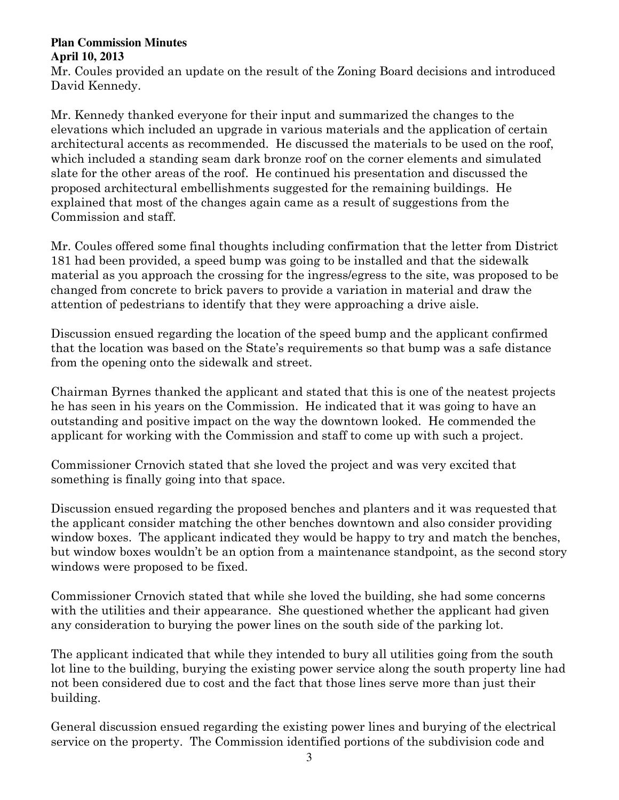#### **Plan Commission Minutes April 10, 2013**

Mr. Coules provided an update on the result of the Zoning Board decisions and introduced David Kennedy.

Mr. Kennedy thanked everyone for their input and summarized the changes to the elevations which included an upgrade in various materials and the application of certain architectural accents as recommended. He discussed the materials to be used on the roof, which included a standing seam dark bronze roof on the corner elements and simulated slate for the other areas of the roof. He continued his presentation and discussed the proposed architectural embellishments suggested for the remaining buildings. He explained that most of the changes again came as a result of suggestions from the Commission and staff.

Mr. Coules offered some final thoughts including confirmation that the letter from District 181 had been provided, a speed bump was going to be installed and that the sidewalk material as you approach the crossing for the ingress/egress to the site, was proposed to be changed from concrete to brick pavers to provide a variation in material and draw the attention of pedestrians to identify that they were approaching a drive aisle.

Discussion ensued regarding the location of the speed bump and the applicant confirmed that the location was based on the State's requirements so that bump was a safe distance from the opening onto the sidewalk and street.

Chairman Byrnes thanked the applicant and stated that this is one of the neatest projects he has seen in his years on the Commission. He indicated that it was going to have an outstanding and positive impact on the way the downtown looked. He commended the applicant for working with the Commission and staff to come up with such a project.

Commissioner Crnovich stated that she loved the project and was very excited that something is finally going into that space.

Discussion ensued regarding the proposed benches and planters and it was requested that the applicant consider matching the other benches downtown and also consider providing window boxes. The applicant indicated they would be happy to try and match the benches, but window boxes wouldn't be an option from a maintenance standpoint, as the second story windows were proposed to be fixed.

Commissioner Crnovich stated that while she loved the building, she had some concerns with the utilities and their appearance. She questioned whether the applicant had given any consideration to burying the power lines on the south side of the parking lot.

The applicant indicated that while they intended to bury all utilities going from the south lot line to the building, burying the existing power service along the south property line had not been considered due to cost and the fact that those lines serve more than just their building.

General discussion ensued regarding the existing power lines and burying of the electrical service on the property. The Commission identified portions of the subdivision code and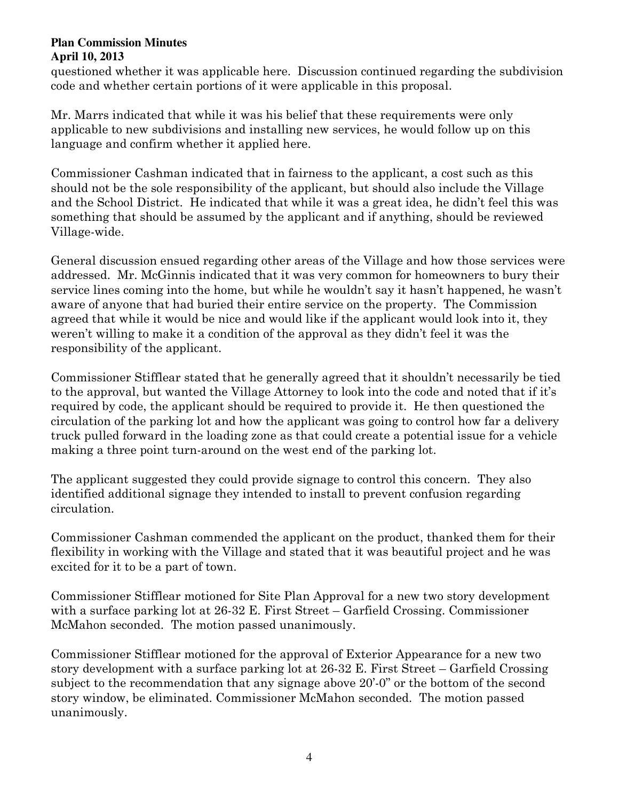#### **Plan Commission Minutes April 10, 2013**

questioned whether it was applicable here. Discussion continued regarding the subdivision code and whether certain portions of it were applicable in this proposal.

Mr. Marrs indicated that while it was his belief that these requirements were only applicable to new subdivisions and installing new services, he would follow up on this language and confirm whether it applied here.

Commissioner Cashman indicated that in fairness to the applicant, a cost such as this should not be the sole responsibility of the applicant, but should also include the Village and the School District. He indicated that while it was a great idea, he didn't feel this was something that should be assumed by the applicant and if anything, should be reviewed Village-wide.

General discussion ensued regarding other areas of the Village and how those services were addressed. Mr. McGinnis indicated that it was very common for homeowners to bury their service lines coming into the home, but while he wouldn't say it hasn't happened, he wasn't aware of anyone that had buried their entire service on the property. The Commission agreed that while it would be nice and would like if the applicant would look into it, they weren't willing to make it a condition of the approval as they didn't feel it was the responsibility of the applicant.

Commissioner Stifflear stated that he generally agreed that it shouldn't necessarily be tied to the approval, but wanted the Village Attorney to look into the code and noted that if it's required by code, the applicant should be required to provide it. He then questioned the circulation of the parking lot and how the applicant was going to control how far a delivery truck pulled forward in the loading zone as that could create a potential issue for a vehicle making a three point turn-around on the west end of the parking lot.

The applicant suggested they could provide signage to control this concern. They also identified additional signage they intended to install to prevent confusion regarding circulation.

Commissioner Cashman commended the applicant on the product, thanked them for their flexibility in working with the Village and stated that it was beautiful project and he was excited for it to be a part of town.

Commissioner Stifflear motioned for Site Plan Approval for a new two story development with a surface parking lot at 26-32 E. First Street – Garfield Crossing. Commissioner McMahon seconded. The motion passed unanimously.

Commissioner Stifflear motioned for the approval of Exterior Appearance for a new two story development with a surface parking lot at 26-32 E. First Street – Garfield Crossing subject to the recommendation that any signage above 20'-0" or the bottom of the second story window, be eliminated. Commissioner McMahon seconded. The motion passed unanimously.